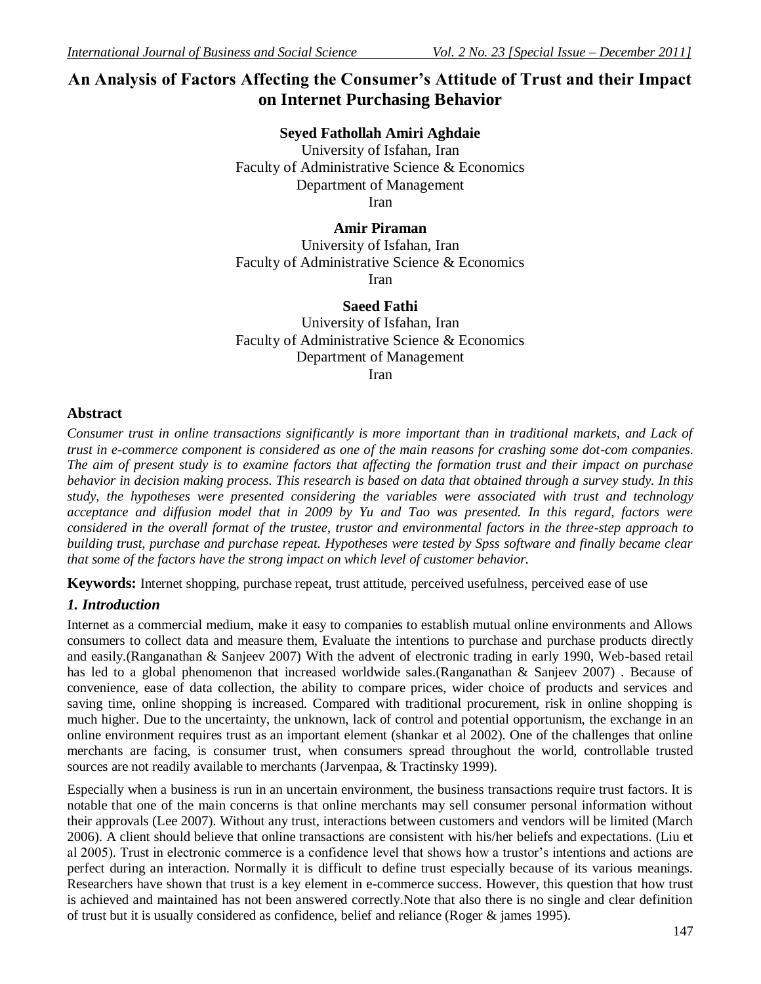# **An Analysis of Factors Affecting the Consumer's Attitude of Trust and their Impact on Internet Purchasing Behavior**

### **Seyed Fathollah Amiri Aghdaie**

University of Isfahan, Iran Faculty of Administrative Science & Economics Department of Management Iran

### **Amir Piraman**

University of Isfahan, Iran Faculty of Administrative Science & Economics Iran

#### **Saeed Fathi**

University of Isfahan, Iran Faculty of Administrative Science & Economics Department of Management Iran

### **Abstract**

*Consumer trust in online transactions significantly is more important than in traditional markets, and Lack of trust in e-commerce component is considered as one of the main reasons for crashing some dot-com companies. The aim of present study is to examine factors that affecting the formation trust and their impact on purchase behavior in decision making process. This research is based on data that obtained through a survey study. In this study, the hypotheses were presented considering the variables were associated with trust and technology*  acceptance and diffusion model that in 2009 by Yu and Tao was presented. In this regard, factors were *considered in the overall format of the trustee, trustor and environmental factors in the three-step approach to building trust, purchase and purchase repeat. Hypotheses were tested by Spss software and finally became clear that some of the factors have the strong impact on which level of customer behavior.* 

**Keywords:** Internet shopping, purchase repeat, trust attitude, perceived usefulness, perceived ease of use

# *1. Introduction*

Internet as a commercial medium, make it easy to companies to establish mutual online environments and Allows consumers to collect data and measure them, Evaluate the intentions to purchase and purchase products directly and easily.(Ranganathan & Sanjeev 2007) With the advent of electronic trading in early 1990, Web-based retail has led to a global phenomenon that increased worldwide sales.(Ranganathan & Sanjeev 2007). Because of convenience, ease of data collection, the ability to compare prices, wider choice of products and services and saving time, online shopping is increased. Compared with traditional procurement, risk in online shopping is much higher. Due to the uncertainty, the unknown, lack of control and potential opportunism, the exchange in an online environment requires trust as an important element (shankar et al 2002). One of the challenges that online merchants are facing, is consumer trust, when consumers spread throughout the world, controllable trusted sources are not readily available to merchants (Jarvenpaa, & Tractinsky 1999).

Especially when a business is run in an uncertain environment, the business transactions require trust factors. It is notable that one of the main concerns is that online merchants may sell consumer personal information without their approvals (Lee 2007). Without any trust, interactions between customers and vendors will be limited (March 2006). A client should believe that online transactions are consistent with his/her beliefs and expectations. (Liu et al 2005). Trust in electronic commerce is a confidence level that shows how a trustor's intentions and actions are perfect during an interaction. Normally it is difficult to define trust especially because of its various meanings. Researchers have shown that trust is a key element in e-commerce success. However, this question that how trust is achieved and maintained has not been answered correctly.Note that also there is no single and clear definition of trust but it is usually considered as confidence, belief and reliance (Roger & james 1995).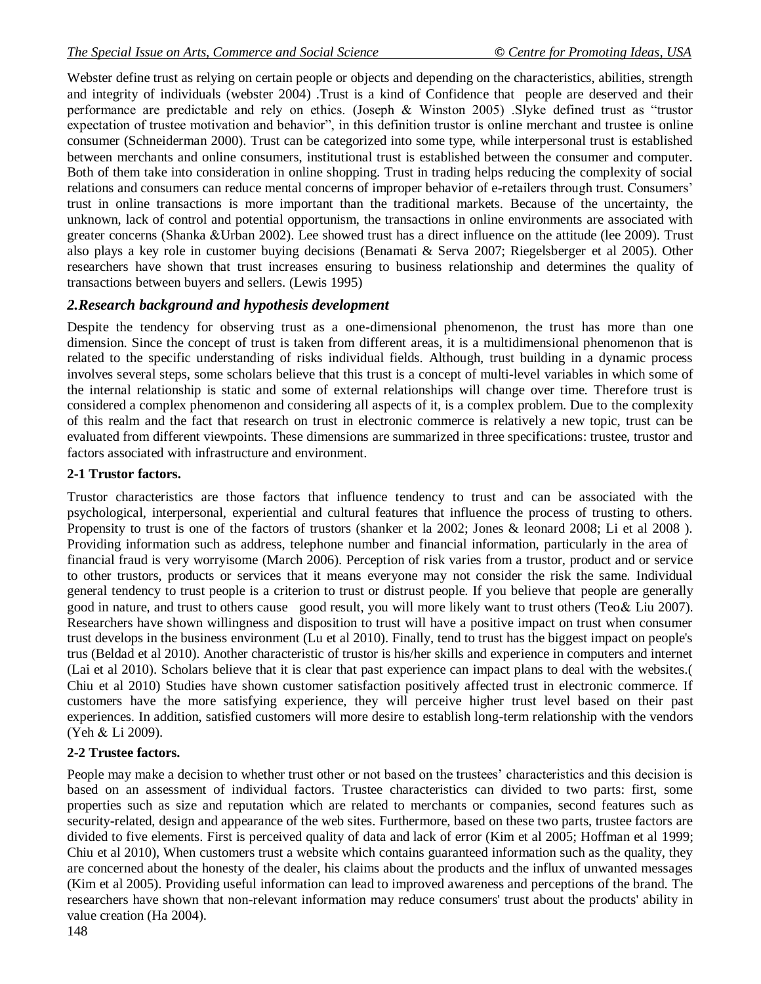Webster define trust as relying on certain people or objects and depending on the characteristics, abilities, strength and integrity of individuals (webster 2004) .Trust is a kind of Confidence that people are deserved and their performance are predictable and rely on ethics. (Joseph  $&$  Winston 2005) .Slyke defined trust as "trustor expectation of trustee motivation and behavior", in this definition trustor is online merchant and trustee is online consumer (Schneiderman 2000). Trust can be categorized into some type, while interpersonal trust is established between merchants and online consumers, institutional trust is established between the consumer and computer. Both of them take into consideration in online shopping. Trust in trading helps reducing the complexity of social relations and consumers can reduce mental concerns of improper behavior of e-retailers through trust. Consumers' trust in online transactions is more important than the traditional markets. Because of the uncertainty, the unknown, lack of control and potential opportunism, the transactions in online environments are associated with greater concerns (Shanka &Urban 2002). Lee showed trust has a direct influence on the attitude (lee 2009). Trust also plays a key role in customer buying decisions (Benamati & Serva 2007; Riegelsberger et al 2005). Other researchers have shown that trust increases ensuring to business relationship and determines the quality of transactions between buyers and sellers. (Lewis 1995)

# *2.Research background and hypothesis development*

Despite the tendency for observing trust as a one-dimensional phenomenon, the trust has more than one dimension. Since the concept of trust is taken from different areas, it is a multidimensional phenomenon that is related to the specific understanding of risks individual fields. Although, trust building in a dynamic process involves several steps, some scholars believe that this trust is a concept of multi-level variables in which some of the internal relationship is static and some of external relationships will change over time. Therefore trust is considered a complex phenomenon and considering all aspects of it, is a complex problem. Due to the complexity of this realm and the fact that research on trust in electronic commerce is relatively a new topic, trust can be evaluated from different viewpoints. These dimensions are summarized in three specifications: trustee, trustor and factors associated with infrastructure and environment.

# **2-1 Trustor factors.**

Trustor characteristics are those factors that influence tendency to trust and can be associated with the psychological, interpersonal, experiential and cultural features that influence the process of trusting to others. Propensity to trust is one of the factors of trustors (shanker et la 2002; Jones & leonard 2008; Li et al 2008 ). Providing information such as address, telephone number and financial information, particularly in the area of financial fraud is very worryisome (March 2006). Perception of risk varies from a trustor, product and or service to other trustors, products or services that it means everyone may not consider the risk the same. Individual general tendency to trust people is a criterion to trust or distrust people. If you believe that people are generally good in nature, and trust to others cause good result, you will more likely want to trust others (Teo& Liu 2007). Researchers have shown willingness and disposition to trust will have a positive impact on trust when consumer trust develops in the business environment (Lu et al 2010). Finally, tend to trust has the biggest impact on people's trus (Beldad et al 2010). Another characteristic of trustor is his/her skills and experience in computers and internet (Lai et al 2010). Scholars believe that it is clear that past experience can impact plans to deal with the websites.( Chiu et al 2010) Studies have shown customer satisfaction positively affected trust in electronic commerce. If customers have the more satisfying experience, they will perceive higher trust level based on their past experiences. In addition, satisfied customers will more desire to establish long-term relationship with the vendors (Yeh & Li 2009).

# **2-2 Trustee factors.**

People may make a decision to whether trust other or not based on the trustees' characteristics and this decision is based on an assessment of individual factors. Trustee characteristics can divided to two parts: first, some properties such as size and reputation which are related to merchants or companies, second features such as security-related, design and appearance of the web sites. Furthermore, based on these two parts, trustee factors are divided to five elements. First is perceived quality of data and lack of error (Kim et al 2005; Hoffman et al 1999; Chiu et al 2010), When customers trust a website which contains guaranteed information such as the quality, they are concerned about the honesty of the dealer, his claims about the products and the influx of unwanted messages (Kim et al 2005). Providing useful information can lead to improved awareness and perceptions of the brand. The researchers have shown that non-relevant information may reduce consumers' trust about the products' ability in value creation (Ha 2004).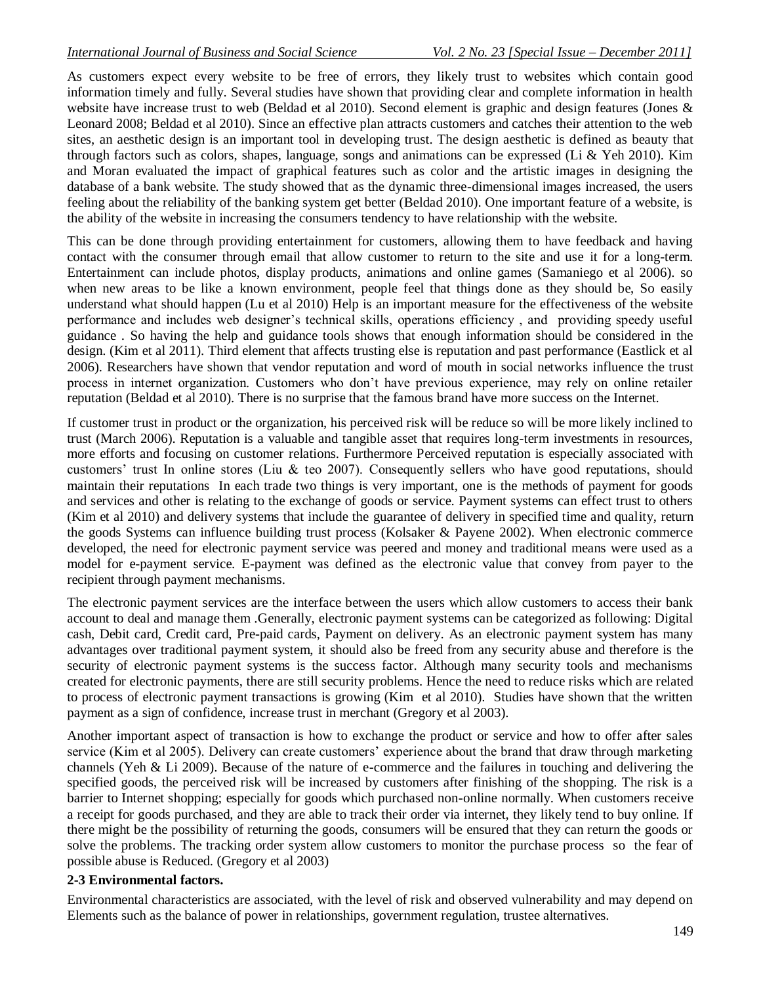As customers expect every website to be free of errors, they likely trust to websites which contain good information timely and fully. Several studies have shown that providing clear and complete information in health website have increase trust to web (Beldad et al 2010). Second element is graphic and design features (Jones & Leonard 2008; Beldad et al 2010). Since an effective plan attracts customers and catches their attention to the web sites, an aesthetic design is an important tool in developing trust. The design aesthetic is defined as beauty that through factors such as colors, shapes, language, songs and animations can be expressed (Li & Yeh 2010). Kim and Moran evaluated the impact of graphical features such as color and the artistic images in designing the database of a bank website. The study showed that as the dynamic three-dimensional images increased, the users feeling about the reliability of the banking system get better (Beldad 2010). One important feature of a website, is the ability of the website in increasing the consumers tendency to have relationship with the website.

This can be done through providing entertainment for customers, allowing them to have feedback and having contact with the consumer through email that allow customer to return to the site and use it for a long-term. Entertainment can include photos, display products, animations and online games (Samaniego et al 2006). so when new areas to be like a known environment, people feel that things done as they should be, So easily understand what should happen (Lu et al 2010) Help is an important measure for the effectiveness of the website performance and includes web designer's technical skills, operations efficiency , and providing speedy useful guidance . So having the help and guidance tools shows that enough information should be considered in the design. (Kim et al 2011). Third element that affects trusting else is reputation and past performance (Eastlick et al 2006). Researchers have shown that vendor reputation and word of mouth in social networks influence the trust process in internet organization. Customers who don't have previous experience, may rely on online retailer reputation (Beldad et al 2010). There is no surprise that the famous brand have more success on the Internet.

If customer trust in product or the organization, his perceived risk will be reduce so will be more likely inclined to trust (March 2006). Reputation is a valuable and tangible asset that requires long-term investments in resources, more efforts and focusing on customer relations. Furthermore Perceived reputation is especially associated with customers' trust In online stores (Liu & teo 2007). Consequently sellers who have good reputations, should maintain their reputations In each trade two things is very important, one is the methods of payment for goods and services and other is relating to the exchange of goods or service. Payment systems can effect trust to others (Kim et al 2010) and delivery systems that include the guarantee of delivery in specified time and quality, return the goods Systems can influence building trust process (Kolsaker & Payene 2002). When electronic commerce developed, the need for electronic payment service was peered and money and traditional means were used as a model for e-payment service. E-payment was defined as the electronic value that convey from payer to the recipient through payment mechanisms.

The electronic payment services are the interface between the users which allow customers to access their bank account to deal and manage them .Generally, electronic payment systems can be categorized as following: Digital cash, Debit card, Credit card, Pre-paid cards, Payment on delivery. As an electronic payment system has many advantages over traditional payment system, it should also be freed from any security abuse and therefore is the security of electronic payment systems is the success factor. Although many security tools and mechanisms created for electronic payments, there are still security problems. Hence the need to reduce risks which are related to process of electronic payment transactions is growing (Kim et al 2010). Studies have shown that the written payment as a sign of confidence, increase trust in merchant (Gregory et al 2003).

Another important aspect of transaction is how to exchange the product or service and how to offer after sales service (Kim et al 2005). Delivery can create customers' experience about the brand that draw through marketing channels (Yeh & Li 2009). Because of the nature of e-commerce and the failures in touching and delivering the specified goods, the perceived risk will be increased by customers after finishing of the shopping. The risk is a barrier to Internet shopping; especially for goods which purchased non-online normally. When customers receive a receipt for goods purchased, and they are able to track their order via internet, they likely tend to buy online. If there might be the possibility of returning the goods, consumers will be ensured that they can return the goods or solve the problems. The tracking order system allow customers to monitor the purchase process so the fear of possible abuse is Reduced. (Gregory et al 2003)

#### **2-3 Environmental factors.**

Environmental characteristics are associated, with the level of risk and observed vulnerability and may depend on Elements such as the balance of power in relationships, government regulation, trustee alternatives.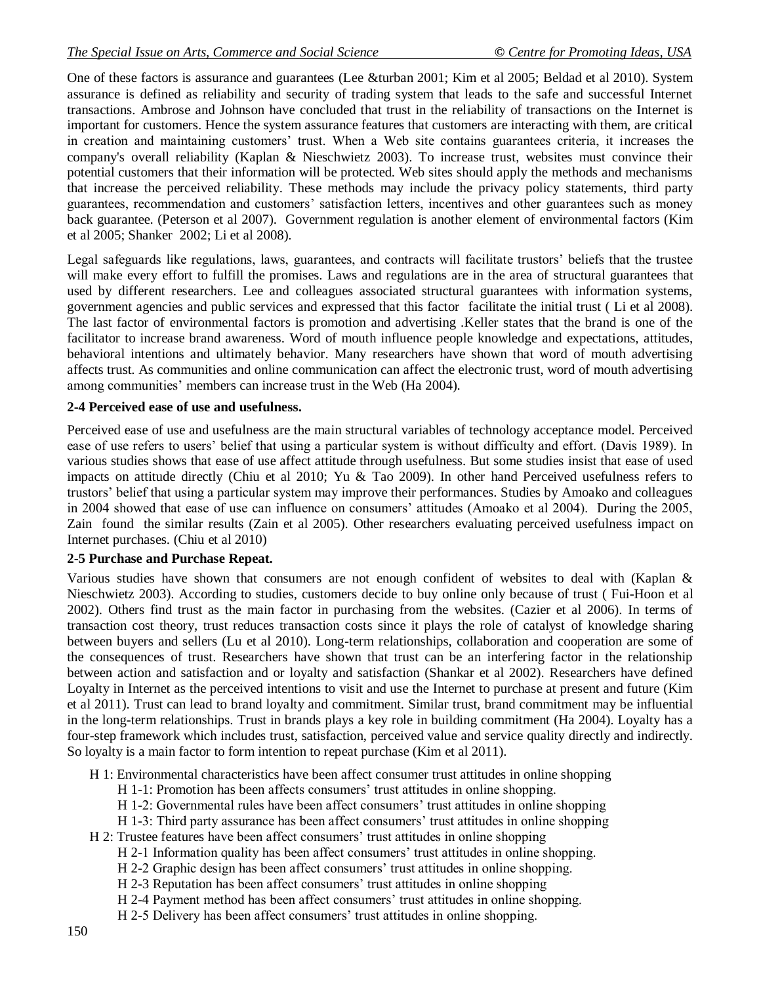One of these factors is assurance and guarantees (Lee &turban 2001; Kim et al 2005; Beldad et al 2010). System assurance is defined as reliability and security of trading system that leads to the safe and successful Internet transactions. Ambrose and Johnson have concluded that trust in the reliability of transactions on the Internet is important for customers. Hence the system assurance features that customers are interacting with them, are critical in creation and maintaining customers' trust. When a Web site contains guarantees criteria, it increases the company's overall reliability (Kaplan & Nieschwietz 2003). To increase trust, websites must convince their potential customers that their information will be protected. Web sites should apply the methods and mechanisms that increase the perceived reliability. These methods may include the privacy policy statements, third party guarantees, recommendation and customers' satisfaction letters, incentives and other guarantees such as money back guarantee. (Peterson et al 2007). Government regulation is another element of environmental factors (Kim et al 2005; Shanker 2002; Li et al 2008).

Legal safeguards like regulations, laws, guarantees, and contracts will facilitate trustors' beliefs that the trustee will make every effort to fulfill the promises. Laws and regulations are in the area of structural guarantees that used by different researchers. Lee and colleagues associated structural guarantees with information systems, government agencies and public services and expressed that this factor facilitate the initial trust ( Li et al 2008). The last factor of environmental factors is promotion and advertising .Keller states that the brand is one of the facilitator to increase brand awareness. Word of mouth influence people knowledge and expectations, attitudes, behavioral intentions and ultimately behavior. Many researchers have shown that word of mouth advertising affects trust. As communities and online communication can affect the electronic trust, word of mouth advertising among communities' members can increase trust in the Web (Ha 2004).

#### **2-4 Perceived ease of use and usefulness.**

Perceived ease of use and usefulness are the main structural variables of technology acceptance model. Perceived ease of use refers to users' belief that using a particular system is without difficulty and effort. (Davis 1989). In various studies shows that ease of use affect attitude through usefulness. But some studies insist that ease of used impacts on attitude directly (Chiu et al 2010; Yu & Tao 2009). In other hand Perceived usefulness refers to trustors' belief that using a particular system may improve their performances. Studies by Amoako and colleagues in 2004 showed that ease of use can influence on consumers' attitudes (Amoako et al 2004). During the 2005, Zain found the similar results (Zain et al 2005). Other researchers evaluating perceived usefulness impact on Internet purchases. (Chiu et al 2010)

#### **2-5 Purchase and Purchase Repeat.**

Various studies have shown that consumers are not enough confident of websites to deal with (Kaplan & Nieschwietz 2003). According to studies, customers decide to buy online only because of trust ( Fui-Hoon et al 2002). Others find trust as the main factor in purchasing from the websites. (Cazier et al 2006). In terms of transaction cost theory, trust reduces transaction costs since it plays the role of catalyst of knowledge sharing between buyers and sellers (Lu et al 2010). Long-term relationships, collaboration and cooperation are some of the consequences of trust. Researchers have shown that trust can be an interfering factor in the relationship between action and satisfaction and or loyalty and satisfaction (Shankar et al 2002). Researchers have defined Loyalty in Internet as the perceived intentions to visit and use the Internet to purchase at present and future (Kim et al 2011). Trust can lead to brand loyalty and commitment. Similar trust, brand commitment may be influential in the long-term relationships. Trust in brands plays a key role in building commitment (Ha 2004). Loyalty has a four-step framework which includes trust, satisfaction, perceived value and service quality directly and indirectly. So loyalty is a main factor to form intention to repeat purchase (Kim et al 2011).

- H 1: Environmental characteristics have been affect consumer trust attitudes in online shopping
	- H 1-1: Promotion has been affects consumers' trust attitudes in online shopping.
	- H 1-2: Governmental rules have been affect consumers' trust attitudes in online shopping
	- H 1-3: Third party assurance has been affect consumers' trust attitudes in online shopping
- H 2: Trustee features have been affect consumers' trust attitudes in online shopping
	- H 2-1 Information quality has been affect consumers' trust attitudes in online shopping.
	- H 2-2 Graphic design has been affect consumers' trust attitudes in online shopping.
	- H 2-3 Reputation has been affect consumers' trust attitudes in online shopping
	- H 2-4 Payment method has been affect consumers' trust attitudes in online shopping.
	- H 2-5 Delivery has been affect consumers' trust attitudes in online shopping.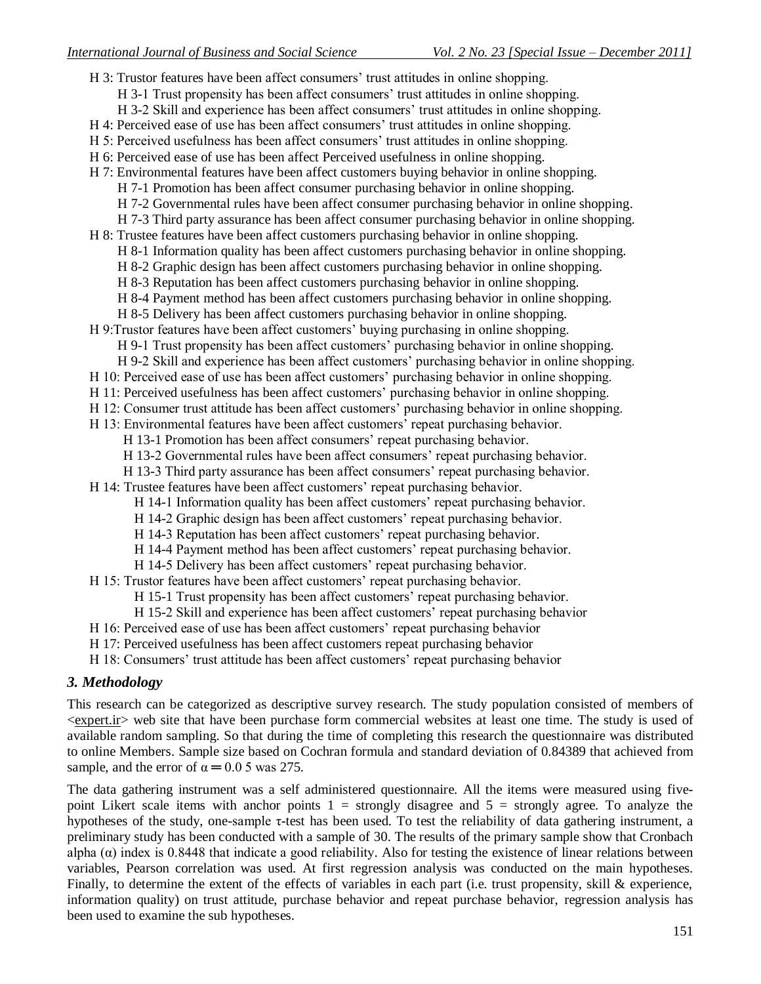H 3: Trustor features have been affect consumers' trust attitudes in online shopping. H 3-1 Trust propensity has been affect consumers' trust attitudes in online shopping. H 3-2 Skill and experience has been affect consumers' trust attitudes in online shopping. H 4: Perceived ease of use has been affect consumers' trust attitudes in online shopping. H 5: Perceived usefulness has been affect consumers' trust attitudes in online shopping. H 6: Perceived ease of use has been affect Perceived usefulness in online shopping. H 7: Environmental features have been affect customers buying behavior in online shopping. H 7-1 Promotion has been affect consumer purchasing behavior in online shopping. H 7-2 Governmental rules have been affect consumer purchasing behavior in online shopping. H 7-3 Third party assurance has been affect consumer purchasing behavior in online shopping. H 8: Trustee features have been affect customers purchasing behavior in online shopping. H 8-1 Information quality has been affect customers purchasing behavior in online shopping. H 8-2 Graphic design has been affect customers purchasing behavior in online shopping. H 8-3 Reputation has been affect customers purchasing behavior in online shopping. H 8-4 Payment method has been affect customers purchasing behavior in online shopping. H 8-5 Delivery has been affect customers purchasing behavior in online shopping. H 9:Trustor features have been affect customers' buying purchasing in online shopping. H 9-1 Trust propensity has been affect customers' purchasing behavior in online shopping. H 9-2 Skill and experience has been affect customers' purchasing behavior in online shopping. H 10: Perceived ease of use has been affect customers' purchasing behavior in online shopping. H 11: Perceived usefulness has been affect customers' purchasing behavior in online shopping. H 12: Consumer trust attitude has been affect customers' purchasing behavior in online shopping. H 13: Environmental features have been affect customers' repeat purchasing behavior. H 13-1 Promotion has been affect consumers' repeat purchasing behavior. H 13-2 Governmental rules have been affect consumers' repeat purchasing behavior. H 13-3 Third party assurance has been affect consumers' repeat purchasing behavior. H 14: Trustee features have been affect customers' repeat purchasing behavior. H 14-1 Information quality has been affect customers' repeat purchasing behavior. H 14-2 Graphic design has been affect customers' repeat purchasing behavior. H 14-3 Reputation has been affect customers' repeat purchasing behavior. H 14-4 Payment method has been affect customers' repeat purchasing behavior. H 14-5 Delivery has been affect customers' repeat purchasing behavior. H 15: Trustor features have been affect customers' repeat purchasing behavior. H 15-1 Trust propensity has been affect customers' repeat purchasing behavior. H 15-2 Skill and experience has been affect customers' repeat purchasing behavior H 16: Perceived ease of use has been affect customers' repeat purchasing behavior H 17: Perceived usefulness has been affect customers repeat purchasing behavior

H 18: Consumers' trust attitude has been affect customers' repeat purchasing behavior

### *3. Methodology*

This research can be categorized as descriptive survey research. The study population consisted of members of <expert.ir> web site that have been purchase form commercial websites at least one time. The study is used of available random sampling. So that during the time of completing this research the questionnaire was distributed to online Members. Sample size based on Cochran formula and standard deviation of 0.84389 that achieved from sample, and the error of  $\alpha = 0.05$  was 275.

The data gathering instrument was a self administered questionnaire. All the items were measured using fivepoint Likert scale items with anchor points  $1 =$  strongly disagree and  $5 =$  strongly agree. To analyze the hypotheses of the study, one-sample τ-test has been used. To test the reliability of data gathering instrument, a preliminary study has been conducted with a sample of 30. The results of the primary sample show that Cronbach alpha  $(\alpha)$  index is 0.8448 that indicate a good reliability. Also for testing the existence of linear relations between variables, Pearson correlation was used. At first regression analysis was conducted on the main hypotheses. Finally, to determine the extent of the effects of variables in each part (i.e. trust propensity, skill & experience, information quality) on trust attitude, purchase behavior and repeat purchase behavior, regression analysis has been used to examine the sub hypotheses.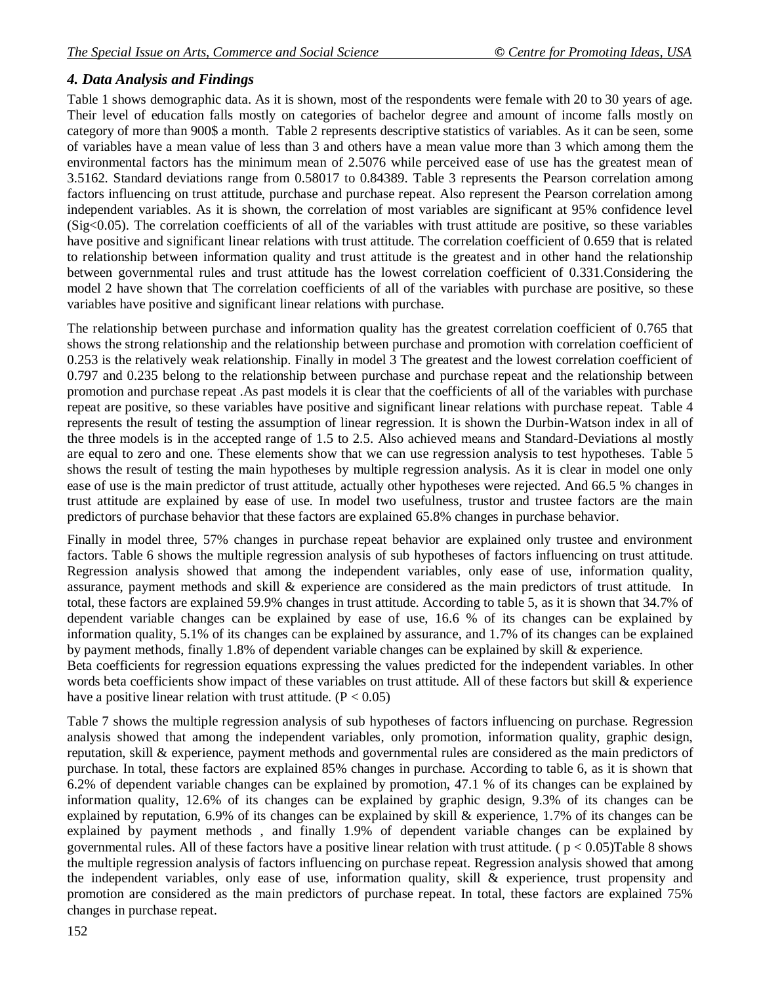### *4. Data Analysis and Findings*

Table 1 shows demographic data. As it is shown, most of the respondents were female with 20 to 30 years of age. Their level of education falls mostly on categories of bachelor degree and amount of income falls mostly on category of more than 900\$ a month. Table 2 represents descriptive statistics of variables. As it can be seen, some of variables have a mean value of less than 3 and others have a mean value more than 3 which among them the environmental factors has the minimum mean of 2.5076 while perceived ease of use has the greatest mean of 3.5162. Standard deviations range from 0.58017 to 0.84389. Table 3 represents the Pearson correlation among factors influencing on trust attitude, purchase and purchase repeat. Also represent the Pearson correlation among independent variables. As it is shown, the correlation of most variables are significant at 95% confidence level (Sig<0.05). The correlation coefficients of all of the variables with trust attitude are positive, so these variables have positive and significant linear relations with trust attitude. The correlation coefficient of 0.659 that is related to relationship between information quality and trust attitude is the greatest and in other hand the relationship between governmental rules and trust attitude has the lowest correlation coefficient of 0.331.Considering the model 2 have shown that The correlation coefficients of all of the variables with purchase are positive, so these variables have positive and significant linear relations with purchase.

The relationship between purchase and information quality has the greatest correlation coefficient of 0.765 that shows the strong relationship and the relationship between purchase and promotion with correlation coefficient of 0.253 is the relatively weak relationship. Finally in model 3 The greatest and the lowest correlation coefficient of 0.797 and 0.235 belong to the relationship between purchase and purchase repeat and the relationship between promotion and purchase repeat .As past models it is clear that the coefficients of all of the variables with purchase repeat are positive, so these variables have positive and significant linear relations with purchase repeat. Table 4 represents the result of testing the assumption of linear regression. It is shown the Durbin-Watson index in all of the three models is in the accepted range of 1.5 to 2.5. Also achieved means and Standard-Deviations al mostly are equal to zero and one. These elements show that we can use regression analysis to test hypotheses. Table 5 shows the result of testing the main hypotheses by multiple regression analysis. As it is clear in model one only ease of use is the main predictor of trust attitude, actually other hypotheses were rejected. And 66.5 % changes in trust attitude are explained by ease of use. In model two usefulness, trustor and trustee factors are the main predictors of purchase behavior that these factors are explained 65.8% changes in purchase behavior.

Finally in model three, 57% changes in purchase repeat behavior are explained only trustee and environment factors. Table 6 shows the multiple regression analysis of sub hypotheses of factors influencing on trust attitude. Regression analysis showed that among the independent variables, only ease of use, information quality, assurance, payment methods and skill & experience are considered as the main predictors of trust attitude. In total, these factors are explained 59.9% changes in trust attitude. According to table 5, as it is shown that 34.7% of dependent variable changes can be explained by ease of use, 16.6 % of its changes can be explained by information quality, 5.1% of its changes can be explained by assurance, and 1.7% of its changes can be explained by payment methods, finally 1.8% of dependent variable changes can be explained by skill & experience.

Beta coefficients for regression equations expressing the values predicted for the independent variables. In other words beta coefficients show impact of these variables on trust attitude. All of these factors but skill & experience have a positive linear relation with trust attitude.  $(P < 0.05)$ 

Table 7 shows the multiple regression analysis of sub hypotheses of factors influencing on purchase. Regression analysis showed that among the independent variables, only promotion, information quality, graphic design, reputation, skill & experience, payment methods and governmental rules are considered as the main predictors of purchase. In total, these factors are explained 85% changes in purchase. According to table 6, as it is shown that 6.2% of dependent variable changes can be explained by promotion, 47.1 % of its changes can be explained by information quality, 12.6% of its changes can be explained by graphic design, 9.3% of its changes can be explained by reputation, 6.9% of its changes can be explained by skill & experience, 1.7% of its changes can be explained by payment methods , and finally 1.9% of dependent variable changes can be explained by governmental rules. All of these factors have a positive linear relation with trust attitude. ( $p < 0.05$ )Table 8 shows the multiple regression analysis of factors influencing on purchase repeat. Regression analysis showed that among the independent variables, only ease of use, information quality, skill & experience, trust propensity and promotion are considered as the main predictors of purchase repeat. In total, these factors are explained 75% changes in purchase repeat.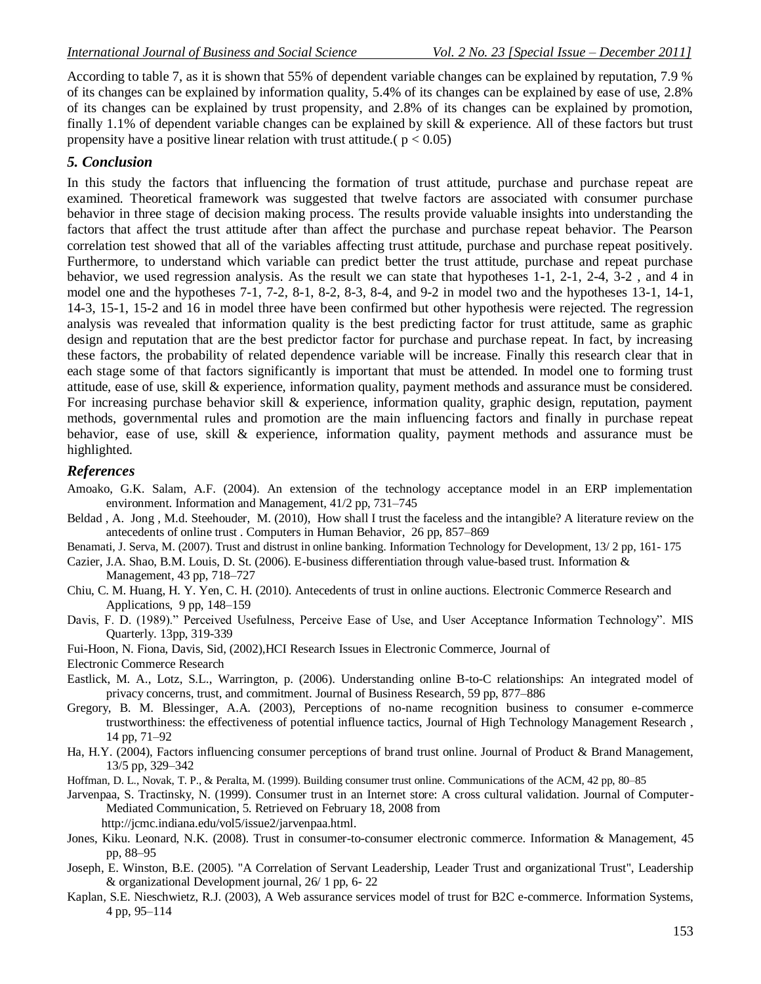According to table 7, as it is shown that 55% of dependent variable changes can be explained by reputation, 7.9 % of its changes can be explained by information quality, 5.4% of its changes can be explained by ease of use, 2.8% of its changes can be explained by trust propensity, and 2.8% of its changes can be explained by promotion, finally 1.1% of dependent variable changes can be explained by skill & experience. All of these factors but trust propensity have a positive linear relation with trust attitude.( $p < 0.05$ )

#### *5. Conclusion*

In this study the factors that influencing the formation of trust attitude, purchase and purchase repeat are examined. Theoretical framework was suggested that twelve factors are associated with consumer purchase behavior in three stage of decision making process. The results provide valuable insights into understanding the factors that affect the trust attitude after than affect the purchase and purchase repeat behavior. The Pearson correlation test showed that all of the variables affecting trust attitude, purchase and purchase repeat positively. Furthermore, to understand which variable can predict better the trust attitude, purchase and repeat purchase behavior, we used regression analysis. As the result we can state that hypotheses 1-1, 2-1, 2-4, 3-2 , and 4 in model one and the hypotheses 7-1, 7-2, 8-1, 8-2, 8-3, 8-4, and 9-2 in model two and the hypotheses 13-1, 14-1, 14-3, 15-1, 15-2 and 16 in model three have been confirmed but other hypothesis were rejected. The regression analysis was revealed that information quality is the best predicting factor for trust attitude, same as graphic design and reputation that are the best predictor factor for purchase and purchase repeat. In fact, by increasing these factors, the probability of related dependence variable will be increase. Finally this research clear that in each stage some of that factors significantly is important that must be attended. In model one to forming trust attitude, ease of use, skill & experience, information quality, payment methods and assurance must be considered. For increasing purchase behavior skill & experience, information quality, graphic design, reputation, payment methods, governmental rules and promotion are the main influencing factors and finally in purchase repeat behavior, ease of use, skill & experience, information quality, payment methods and assurance must be highlighted.

#### *References*

- Amoako, G.K. Salam, A.F. (2004). An extension of the technology acceptance model in an ERP implementation environment. Information and Management, 41/2 pp, 731–745
- Beldad , A. Jong , M.d. Steehouder, M. (2010), How shall I trust the faceless and the intangible? A literature review on the antecedents of online trust . Computers in Human Behavior, 26 pp, 857–869
- Benamati, J. Serva, M. (2007). Trust and distrust in online banking. Information Technology for Development, 13/ 2 pp, 161- 175

Cazier, J.A. Shao, B.M. Louis, D. St. (2006). E-business differentiation through value-based trust. Information & Management, 43 pp, 718–727

- Chiu, C. M. Huang, H. Y. Yen, C. H. (2010). Antecedents of trust in online auctions. Electronic Commerce Research and Applications, 9 pp, 148–159
- Davis, F. D. (1989)." Perceived Usefulness, Perceive Ease of Use, and User Acceptance Information Technology". MIS Quarterly. 13pp, 319-339
- Fui-Hoon, N. Fiona, Davis, Sid, (2002),HCI Research Issues in Electronic Commerce, Journal of
- Electronic Commerce Research
- Eastlick, M. A., Lotz, S.L., Warrington, p. (2006). Understanding online B-to-C relationships: An integrated model of privacy concerns, trust, and commitment. Journal of Business Research, 59 pp, 877–886
- Gregory, B. M. Blessinger, A.A. (2003), Perceptions of no-name recognition business to consumer e-commerce trustworthiness: the effectiveness of potential influence tactics, Journal of High Technology Management Research , 14 pp, 71–92
- Ha, H.Y. (2004), Factors influencing consumer perceptions of brand trust online. Journal of Product & Brand Management, 13/5 pp, 329–342
- Hoffman, D. L., Novak, T. P., & Peralta, M. (1999). Building consumer trust online. Communications of the ACM, 42 pp, 80–85

Jarvenpaa, S. Tractinsky, N. (1999). Consumer trust in an Internet store: A cross cultural validation. Journal of Computer-Mediated Communication, 5. Retrieved on February 18, 2008 from

http://jcmc.indiana.edu/vol5/issue2/jarvenpaa.html.

- Jones, Kiku. Leonard, N.K. (2008). Trust in consumer-to-consumer electronic commerce. Information & Management, 45 pp, 88–95
- Joseph, E. Winston, B.E. (2005). "A Correlation of Servant Leadership, Leader Trust and organizational Trust", Leadership & organizational Development journal, 26/ 1 pp, 6- 22
- Kaplan, S.E. Nieschwietz, R.J. (2003), A Web assurance services model of trust for B2C e-commerce. Information Systems, 4 pp, 95–114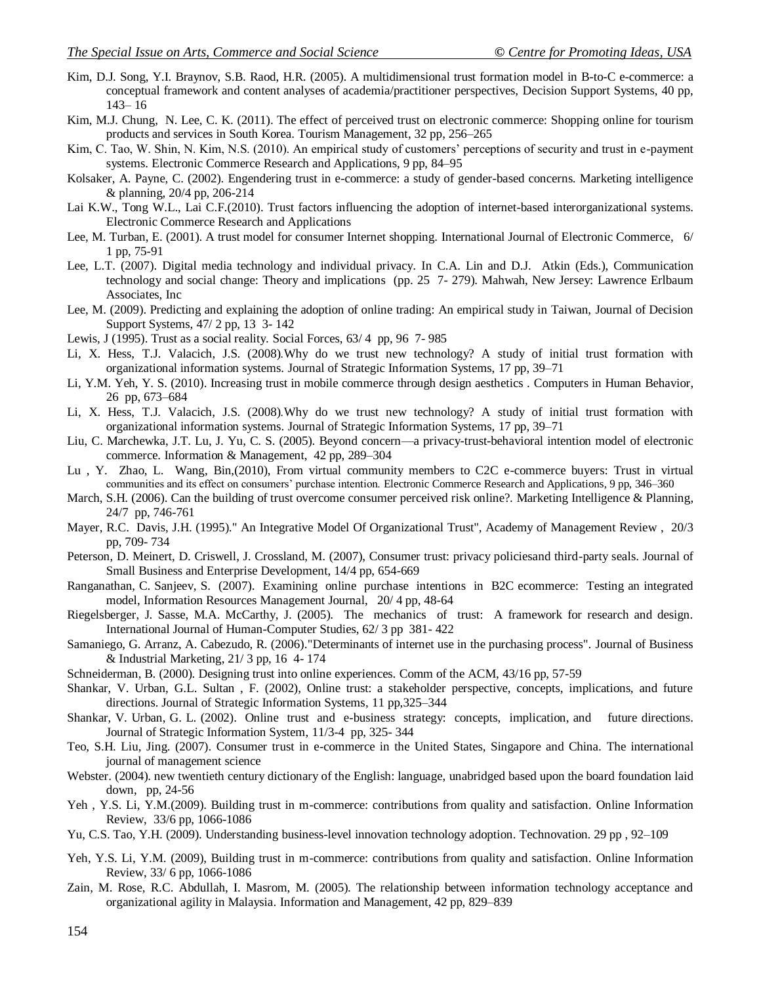- Kim, D.J. Song, Y.I. Braynov, S.B. Raod, H.R. (2005). A multidimensional trust formation model in B-to-C e-commerce: a conceptual framework and content analyses of academia/practitioner perspectives, Decision Support Systems, 40 pp, 143– 16
- Kim, M.J. Chung, N. Lee, C. K. (2011). The effect of perceived trust on electronic commerce: Shopping online for tourism products and services in South Korea. Tourism Management, 32 pp, 256–265
- Kim, C. Tao, W. Shin, N. Kim, N.S. (2010). An empirical study of customers' perceptions of security and trust in e-payment systems. Electronic Commerce Research and Applications, 9 pp, 84–95
- Kolsaker, A. Payne, C. (2002). Engendering trust in e-commerce: a study of gender-based concerns. Marketing intelligence & planning, 20/4 pp, 206-214
- Lai K.W., Tong W.L., Lai C.F.(2010). Trust factors influencing the adoption of internet-based interorganizational systems. Electronic Commerce Research and Applications
- Lee, M. Turban, E. (2001). A trust model for consumer Internet shopping. International Journal of Electronic Commerce, 6/ 1 pp, 75-91
- Lee, L.T. (2007). Digital media technology and individual privacy. In C.A. Lin and D.J. Atkin (Eds.), Communication technology and social change: Theory and implications (pp. 25 7- 279). Mahwah, New Jersey: Lawrence Erlbaum Associates, Inc
- Lee, M. (2009). Predicting and explaining the adoption of online trading: An empirical study in Taiwan, Journal of Decision Support Systems, 47/ 2 pp, 13 3- 142
- Lewis, J (1995). Trust as a social reality. Social Forces, 63/ 4 pp, 96 7- 985
- Li, X. Hess, T.J. Valacich, J.S. (2008).Why do we trust new technology? A study of initial trust formation with organizational information systems. Journal of Strategic Information Systems, 17 pp, 39–71
- Li, Y.M. Yeh, Y. S. (2010). Increasing trust in mobile commerce through design aesthetics . Computers in Human Behavior, 26 pp, 673–684
- Li, X. Hess, T.J. Valacich, J.S. (2008).Why do we trust new technology? A study of initial trust formation with organizational information systems. Journal of Strategic Information Systems, 17 pp, 39–71
- Liu, C. Marchewka, J.T. Lu, J. Yu, C. S. (2005). Beyond concern—a privacy-trust-behavioral intention model of electronic commerce. Information & Management, 42 pp, 289–304
- Lu , Y. Zhao, L. Wang, Bin,(2010), From virtual community members to C2C e-commerce buyers: Trust in virtual communities and its effect on consumers' purchase intention. Electronic Commerce Research and Applications, 9 pp, 346–360
- March, S.H. (2006). Can the building of trust overcome consumer perceived risk online?. Marketing Intelligence & Planning, 24/7 pp, 746-761
- Mayer, R.C. Davis, J.H. (1995)." An Integrative Model Of Organizational Trust", Academy of Management Review , 20/3 pp, 709- 734
- Peterson, D. Meinert, D. Criswell, J. Crossland, M. (2007), Consumer trust: privacy policiesand third-party seals. Journal of Small Business and Enterprise Development, 14/4 pp, 654-669
- Ranganathan, C. Sanjeev, S. (2007). Examining online purchase intentions in B2C ecommerce: Testing an integrated model, Information Resources Management Journal, 20/ 4 pp, 48-64
- Riegelsberger, J. Sasse, M.A. McCarthy, J. (2005). The mechanics of trust: A framework for research and design. International Journal of Human-Computer Studies, 62/ 3 pp 381- 422
- Samaniego, G. Arranz, A. Cabezudo, R. (2006)."Determinants of internet use in the purchasing process". Journal of Business & Industrial Marketing, 21/ 3 pp, 16 4- 174
- Schneiderman, B. (2000). Designing trust into online experiences. Comm of the ACM, 43/16 pp, 57-59
- Shankar, V. Urban, G.L. Sultan , F. (2002), Online trust: a stakeholder perspective, concepts, implications, and future directions. Journal of Strategic Information Systems, 11 pp,325–344
- Shankar, V. Urban, G. L. (2002). Online trust and e-business strategy: concepts, implication, and future directions. Journal of Strategic Information System, 11/3-4 pp, 325- 344
- Teo, S.H. Liu, Jing. (2007). Consumer trust in e-commerce in the United States, Singapore and China. The international journal of management science
- Webster. (2004). new twentieth century dictionary of the English: language, unabridged based upon the board foundation laid down, pp, 24-56
- Yeh , Y.S. Li, Y.M.(2009). Building trust in m-commerce: contributions from quality and satisfaction. Online Information Review, 33/6 pp, 1066-1086
- Yu, C.S. Tao, Y.H. (2009). Understanding business-level innovation technology adoption. Technovation. 29 pp , 92–109
- Yeh, Y.S. Li, Y.M. (2009), Building trust in m-commerce: contributions from quality and satisfaction. Online Information Review, 33/ 6 pp, 1066-1086
- Zain, M. Rose, R.C. Abdullah, I. Masrom, M. (2005). The relationship between information technology acceptance and organizational agility in Malaysia. Information and Management, 42 pp, 829–839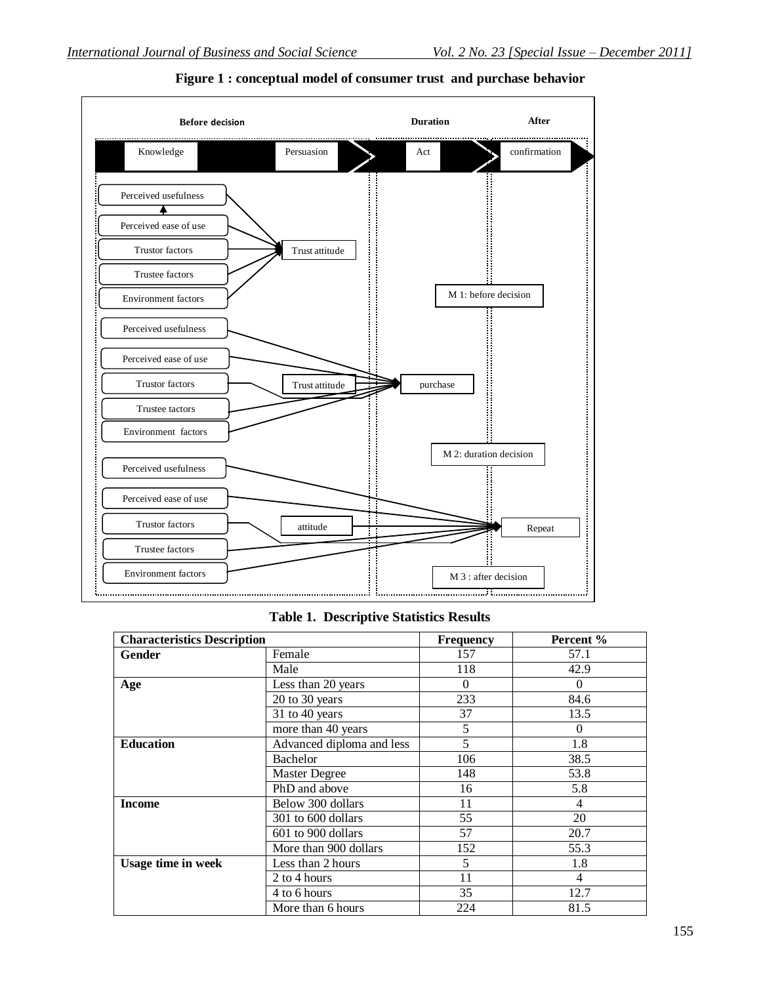

**Figure 1 : conceptual model of consumer trust and purchase behavior**

### **Table 1. Descriptive Statistics Results**

| <b>Characteristics Description</b> |                           | <b>Frequency</b> | Percent % |
|------------------------------------|---------------------------|------------------|-----------|
| Gender                             | Female                    | 157              | 57.1      |
|                                    | Male                      | 118              | 42.9      |
| Age                                | Less than 20 years        | $\Omega$         | $\Omega$  |
|                                    | 20 to 30 years            | 233              | 84.6      |
|                                    | 31 to 40 years            | 37               | 13.5      |
|                                    | more than 40 years        | 5                | $\Omega$  |
| <b>Education</b>                   | Advanced diploma and less | 5                | 1.8       |
|                                    | Bachelor                  | 106              | 38.5      |
|                                    | <b>Master Degree</b>      | 148              | 53.8      |
|                                    | PhD and above             | 16               | 5.8       |
| <b>Income</b>                      | Below 300 dollars         | 11               | 4         |
|                                    | 301 to 600 dollars        | 55               | 20        |
|                                    | 601 to 900 dollars        | 57               | 20.7      |
|                                    | More than 900 dollars     | 152              | 55.3      |
| <b>Usage time in week</b>          | Less than 2 hours         | 5                | 1.8       |
|                                    | 2 to 4 hours              | 11               | 4         |
|                                    | 4 to 6 hours              | 35               | 12.7      |
|                                    | More than 6 hours         | 224              | 81.5      |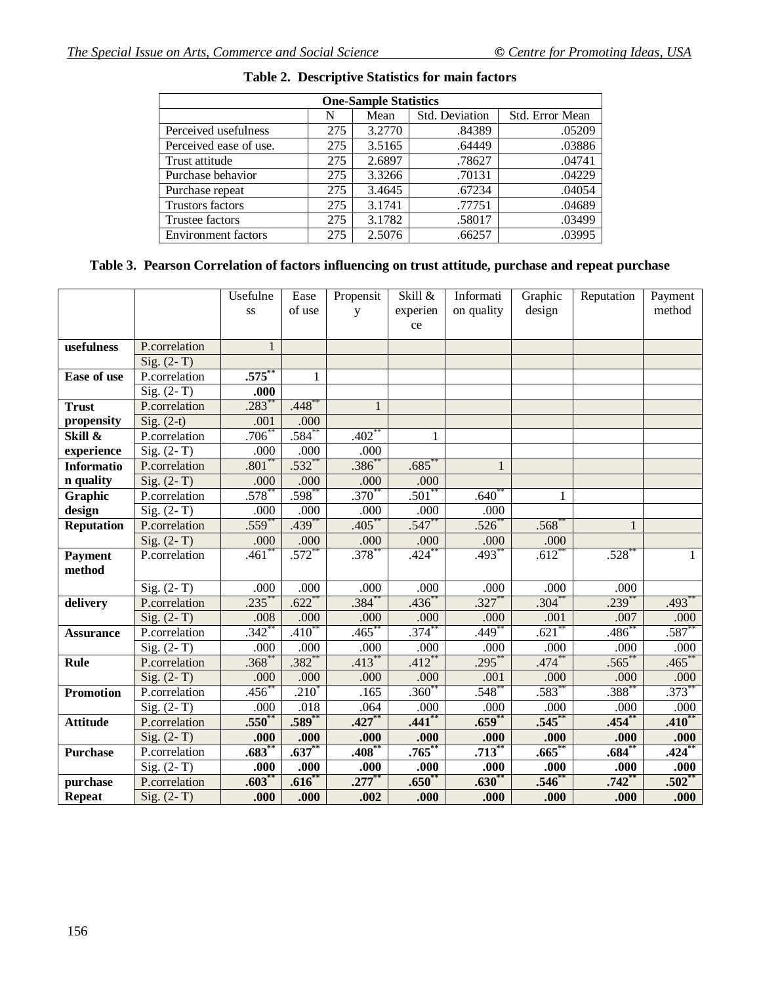| <b>One-Sample Statistics</b> |     |        |                |                 |  |  |  |  |
|------------------------------|-----|--------|----------------|-----------------|--|--|--|--|
|                              | N   | Mean   | Std. Deviation | Std. Error Mean |  |  |  |  |
| Perceived usefulness         | 275 | 3.2770 | .84389         | .05209          |  |  |  |  |
| Perceived ease of use.       | 275 | 3.5165 | .64449         | .03886          |  |  |  |  |
| Trust attitude               | 275 | 2.6897 | .78627         | .04741          |  |  |  |  |
| Purchase behavior            | 275 | 3.3266 | .70131         | .04229          |  |  |  |  |
| Purchase repeat              | 275 | 3.4645 | .67234         | .04054          |  |  |  |  |
| <b>Trustors factors</b>      | 275 | 3.1741 | .77751         | .04689          |  |  |  |  |
| Trustee factors              | 275 | 3.1782 | .58017         | .03499          |  |  |  |  |
| <b>Environment</b> factors   | 275 | 2.5076 | .66257         | .03995          |  |  |  |  |

# **Table 2. Descriptive Statistics for main factors**

# **Table 3. Pearson Correlation of factors influencing on trust attitude, purchase and repeat purchase**

|                    |                                | Usefulne            | Ease                | Propensit           | Skill &             | Informati    | Graphic             | Reputation   | Payment    |
|--------------------|--------------------------------|---------------------|---------------------|---------------------|---------------------|--------------|---------------------|--------------|------------|
|                    |                                | SS                  | of use              | y                   | experien            | on quality   | design              |              | method     |
|                    |                                |                     |                     |                     | ce                  |              |                     |              |            |
| usefulness         | P.correlation                  | $\mathbf{1}$        |                     |                     |                     |              |                     |              |            |
|                    | Sig. $(2-T)$                   |                     |                     |                     |                     |              |                     |              |            |
| <b>Ease of use</b> | P.correlation                  | .575                | $\mathbf{1}$        |                     |                     |              |                     |              |            |
|                    | $Sig. (2-T)$                   | .000                |                     |                     |                     |              |                     |              |            |
| <b>Trust</b>       | P.correlation                  | $.283$ <sup>2</sup> | $.448$ <sup>*</sup> |                     |                     |              |                     |              |            |
| propensity         | Sig. $(2-t)$                   | .001                | .000                |                     |                     |              |                     |              |            |
| Skill &            | P.correlation                  | .706                | $.584^{*}$          | $.402$ <sup>*</sup> | 1                   |              |                     |              |            |
| experience         | $\overline{\text{Sig.} (2-T)}$ | .000                | .000                | .000                |                     |              |                     |              |            |
| <b>Informatio</b>  | P.correlation                  | $.801$ <sup>*</sup> | $.532^{**}$         | $.386*$             | $.685*$             | $\mathbf{1}$ |                     |              |            |
| n quality          | $\overline{\text{Sig.} (2-T)}$ | .000                | .000                | .000                | .000                |              |                     |              |            |
| Graphic            | P.correlation                  | .578                | $.598$ <sup>*</sup> | $.370*$             | .501                | .640         | 1                   |              |            |
| design             | Sig. $(2-T)$                   | .000                | .000                | .000                | .000                | .000         |                     |              |            |
| <b>Reputation</b>  | P.correlation                  | $.559*$             | $.439*$             | $.405*$             | .547                | .526         | $.568*$             | $\mathbf{1}$ |            |
|                    | Sig. $(2-T)$                   | .000                | .000                | .000                | .000                | .000         | .000                |              |            |
| <b>Payment</b>     | P.correlation                  | $.461$ <sup>2</sup> | $.572$ **           | $.378^{**}$         | .424                | $.493*$      | $.612*$             | $.528*$      | 1          |
| method             |                                |                     |                     |                     |                     |              |                     |              |            |
|                    | Sig. $(2-T)$                   | .000                | .000                | .000                | .000                | .000         | .000                | .000         |            |
| delivery           | P.correlation                  | $.235***$           | $.622***$           | $.384^{**}$         | $.436*$             | $.327***$    | $.304*$             | $.239^{**}$  | $.493**$   |
|                    | $Sig. (2-T)$                   | .008                | .000                | .000                | .000                | .000         | .001                | .007         | .000       |
| <b>Assurance</b>   | P.correlation                  | $\frac{.342}{.}$    | $.410**$            | $.465**$            | $.374^{**}$         | $.449*$      | $.621$ <sup>*</sup> | $.486*$      | .587       |
|                    | Sig. $(2-T)$                   | .000                | .000                | .000                | .000                | .000         | .000                | .000         | .000       |
| <b>Rule</b>        | P.correlation                  | .368                | $.382^{*}$          | $.41\overline{3}$   | $.412$ <sup>*</sup> | $.295*$      | $.474*$             | .565         | .465       |
|                    | $Sig. (2-T)$                   | .000                | .000                | .000                | .000                | .001         | .000                | .000         | .000       |
| <b>Promotion</b>   | P.correlation                  | $.456*$             | $.210^{*}$          | .165                | $.360*$             | $.548*$      | $.583*$             | $.388^{*}$   | $.373*$    |
|                    | Sig. $(2-T)$                   | .000                | .018                | .064                | .000                | .000         | .000                | .000         | .000       |
| <b>Attitude</b>    | P.correlation                  | .550 <sup>°</sup>   | $.589**$            | $.427**$            | $.441$ <sup>*</sup> | $.659^{**}$  | .545                | .454         | $.410**$   |
|                    | Sig. $(2-T)$                   | .000                | .000                | .000                | .000                | .000         | .000                | .000         | .000       |
| <b>Purchase</b>    | P.correlation                  | $.683$ <sup>*</sup> | $.637**$            | $.408^{**}$         | .765                | $.713*$      | .665                | $.684*$      | .424       |
|                    | Sig. $(2-T)$                   | .000                | .000                | .000                | .000                | .000         | .000                | .000         | .000       |
| purchase           | P.correlation                  | .603                | $.616*$             | $.277$ **           | $.650*$             | .630         | $.546^*$            | .742         | $.502^{*}$ |
| <b>Repeat</b>      | $Sig. (2-T)$                   | .000                | .000.               | .002                | .000                | .000.        | .000                | .000         | .000       |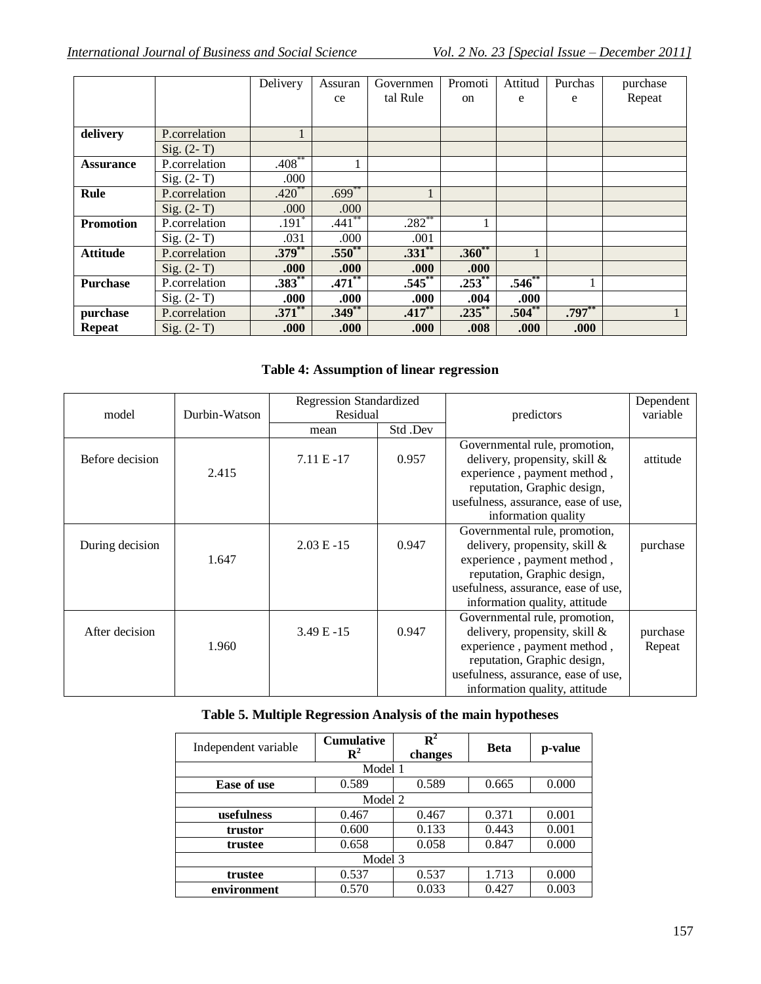|                  |               | Delivery    | Assuran   | Governmen | Promoti     | Attitud     | Purchas   | purchase |
|------------------|---------------|-------------|-----------|-----------|-------------|-------------|-----------|----------|
|                  |               |             | ce        | tal Rule  | on          | e           | e         | Repeat   |
|                  |               |             |           |           |             |             |           |          |
| delivery         | P.correlation |             |           |           |             |             |           |          |
|                  | $Sig. (2-T)$  |             |           |           |             |             |           |          |
| <b>Assurance</b> | P.correlation | $.408***$   |           |           |             |             |           |          |
|                  | $Sig. (2-T)$  | .000        |           |           |             |             |           |          |
| Rule             | P.correlation | $.420**$    | $.699***$ |           |             |             |           |          |
|                  | $Sig. (2-T)$  | .000        | .000      |           |             |             |           |          |
| <b>Promotion</b> | P.correlation | $.191*$     | $.441$ ** | $.282***$ | 1           |             |           |          |
|                  | $Sig. (2-T)$  | .031        | .000      | .001      |             |             |           |          |
| <b>Attitude</b>  | P.correlation | $.379***$   | $.550**$  | $.331***$ | $.360**$    |             |           |          |
|                  | $Sig. (2-T)$  | .000        | .000      | .000      | .000        |             |           |          |
| <b>Purchase</b>  | P.correlation | $.383^{**}$ | $.471$ ** | $.545***$ | $.253^{**}$ | $.546^{**}$ |           |          |
|                  | $Sig. (2-T)$  | .000.       | .000      | .000.     | .004        | .000        |           |          |
| purchase         | P.correlation | $.371$ **   | $.349**$  | $.417***$ | $.235***$   | $.504**$    | $.797***$ |          |
| <b>Repeat</b>    | $Sig. (2-T)$  | .000        | .000      | .000      | .008        | .000        | .000      |          |

# **Table 4: Assumption of linear regression**

|                 |               | <b>Regression Standardized</b> |         |                                     | Dependent |
|-----------------|---------------|--------------------------------|---------|-------------------------------------|-----------|
| model           | Durbin-Watson | Residual                       |         | predictors                          | variable  |
|                 |               | mean                           | Std.Dev |                                     |           |
|                 |               |                                |         | Governmental rule, promotion,       |           |
| Before decision |               | $7.11 E - 17$                  | 0.957   | delivery, propensity, skill &       | attitude  |
|                 | 2.415         |                                |         | experience, payment method,         |           |
|                 |               |                                |         | reputation, Graphic design,         |           |
|                 |               |                                |         | usefulness, assurance, ease of use, |           |
|                 |               |                                |         | information quality                 |           |
|                 |               |                                |         | Governmental rule, promotion,       |           |
| During decision |               | $2.03 E - 15$                  | 0.947   | delivery, propensity, skill $\&$    | purchase  |
|                 | 1.647         |                                |         | experience, payment method,         |           |
|                 |               |                                |         | reputation, Graphic design,         |           |
|                 |               |                                |         | usefulness, assurance, ease of use, |           |
|                 |               |                                |         | information quality, attitude       |           |
|                 |               |                                |         | Governmental rule, promotion,       |           |
| After decision  |               | $3.49 E - 15$                  | 0.947   | delivery, propensity, skill $\&$    | purchase  |
|                 | 1.960         |                                |         | experience, payment method,         | Repeat    |
|                 |               |                                |         | reputation, Graphic design,         |           |
|                 |               |                                |         | usefulness, assurance, ease of use, |           |
|                 |               |                                |         | information quality, attitude       |           |

# **Table 5. Multiple Regression Analysis of the main hypotheses**

| Independent variable | <b>Cumulative</b><br>${\bf R}^2$ | $\overline{\mathbf{R}}^2$<br>changes | <b>Beta</b> | p-value |  |  |  |
|----------------------|----------------------------------|--------------------------------------|-------------|---------|--|--|--|
|                      | Model 1                          |                                      |             |         |  |  |  |
| Ease of use          | 0.589                            | 0.589                                | 0.665       | 0.000   |  |  |  |
| Model 2              |                                  |                                      |             |         |  |  |  |
| usefulness           | 0.467                            | 0.467                                | 0.371       | 0.001   |  |  |  |
| trustor              | 0.600                            | 0.133                                | 0.443       | 0.001   |  |  |  |
| trustee              | 0.658                            | 0.058                                | 0.847       | 0.000   |  |  |  |
| Model 3              |                                  |                                      |             |         |  |  |  |
| trustee              | 0.537                            | 0.537                                | 1.713       | 0.000   |  |  |  |
| environment          | 0.570                            | 0.033                                | 0.427       | 0.003   |  |  |  |